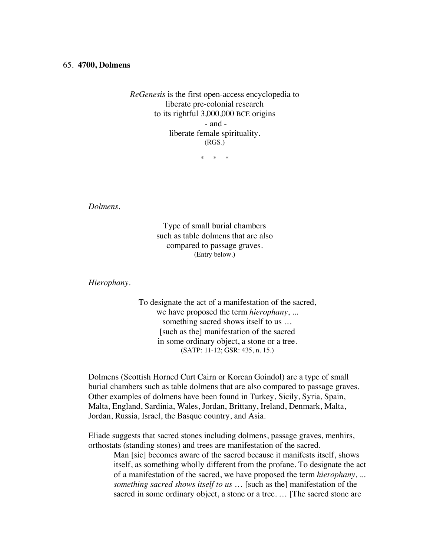## 65. **4700, Dolmens**

*ReGenesis* is the first open-access encyclopedia to liberate pre-colonial research to its rightful 3,000,000 BCE origins - and liberate female spirituality. (RGS.)

\* \* \*

*Dolmens.*

Type of small burial chambers such as table dolmens that are also compared to passage graves. (Entry below.)

*Hierophany.*

To designate the act of a manifestation of the sacred, we have proposed the term *hierophany*, ... something sacred shows itself to us … [such as the] manifestation of the sacred in some ordinary object, a stone or a tree. (SATP: 11-12; GSR: 435, n. 15.)

Dolmens (Scottish Horned Curt Cairn or Korean Goindol) are a type of small burial chambers such as table dolmens that are also compared to passage graves. Other examples of dolmens have been found in Turkey, Sicily, Syria, Spain, Malta, England, Sardinia, Wales, Jordan, Brittany, Ireland, Denmark, Malta, Jordan, Russia, Israel, the Basque country, and Asia.

Eliade suggests that sacred stones including dolmens, passage graves, menhirs, orthostats (standing stones) and trees are manifestation of the sacred.

Man [sic] becomes aware of the sacred because it manifests itself, shows itself, as something wholly different from the profane. To designate the act of a manifestation of the sacred, we have proposed the term *hierophany*, ... *something sacred shows itself to us* … [such as the] manifestation of the sacred in some ordinary object, a stone or a tree. … [The sacred stone are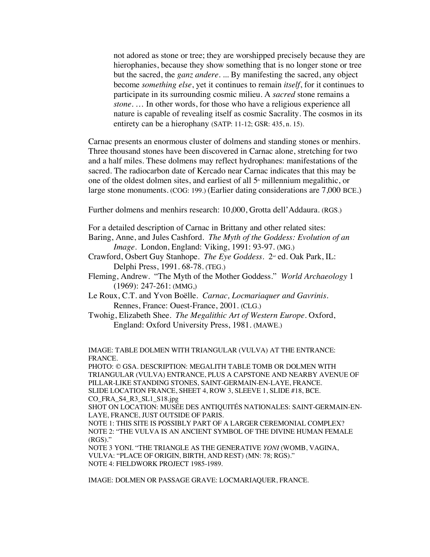not adored as stone or tree; they are worshipped precisely because they are hierophanies, because they show something that is no longer stone or tree but the sacred, the *ganz andere*. ... By manifesting the sacred, any object become *something else*, yet it continues to remain *itself*, for it continues to participate in its surrounding cosmic milieu. A *sacred* stone remains a *stone*. … In other words, for those who have a religious experience all nature is capable of revealing itself as cosmic Sacrality. The cosmos in its entirety can be a hierophany (SATP: 11-12; GSR: 435, n. 15).

Carnac presents an enormous cluster of dolmens and standing stones or menhirs. Three thousand stones have been discovered in Carnac alone, stretching for two and a half miles. These dolmens may reflect hydrophanes: manifestations of the sacred. The radiocarbon date of Kercado near Carnac indicates that this may be one of the oldest dolmen sites, and earliest of all  $5<sup>th</sup>$  millennium megalithic, or large stone monuments. (COG: 199.) (Earlier dating considerations are 7,000 BCE.)

Further dolmens and menhirs research: 10,000, Grotta dell'Addaura. (RGS.)

For a detailed description of Carnac in Brittany and other related sites:

Baring, Anne, and Jules Cashford. *The Myth of the Goddess: Evolution of an Image*. London, England: Viking, 1991: 93-97. (MG.)

Crawford, Osbert Guy Stanhope. *The Eye Goddess*. 2nd ed. Oak Park, IL: Delphi Press, 1991. 68-78. (TEG.)

- Fleming, Andrew. "The Myth of the Mother Goddess." *World Archaeology* 1 (1969): 247-261: (MMG,)
- Le Roux, C.T. and Yvon Boëlle. *Carnac, Locmariaquer and Gavrinis*. Rennes, France: Ouest-France, 2001. (CLG.)
- Twohig, Elizabeth Shee. *The Megalithic Art of Western Europe*. Oxford, England: Oxford University Press, 1981. (MAWE.)

IMAGE: TABLE DOLMEN WITH TRIANGULAR (VULVA) AT THE ENTRANCE: FRANCE.

PHOTO: © GSA. DESCRIPTION: MEGALITH TABLE TOMB OR DOLMEN WITH TRIANGULAR (VULVA) ENTRANCE, PLUS A CAPSTONE AND NEARBY AVENUE OF PILLAR-LIKE STANDING STONES, SAINT-GERMAIN-EN-LAYE, FRANCE. SLIDE LOCATION FRANCE, SHEET 4, ROW 3, SLEEVE 1, SLIDE #18, BCE. CO\_FRA\_S4\_R3\_SL1\_S18.jpg

SHOT ON LOCATION: MUSÉE DES ANTIQUITÉS NATIONALES: SAINT-GERMAIN-EN-LAYE, FRANCE, JUST OUTSIDE OF PARIS.

NOTE 1: THIS SITE IS POSSIBLY PART OF A LARGER CEREMONIAL COMPLEX? NOTE 2: "THE VULVA IS AN ANCIENT SYMBOL OF THE DIVINE HUMAN FEMALE  $(RGS)$ ."

NOTE 3 YONI. "THE TRIANGLE AS THE GENERATIVE *YONI* (WOMB, VAGINA, VULVA: "PLACE OF ORIGIN, BIRTH, AND REST) (MN: 78; RGS)." NOTE 4: FIELDWORK PROJECT 1985-1989.

IMAGE: DOLMEN OR PASSAGE GRAVE: LOCMARIAQUER, FRANCE.